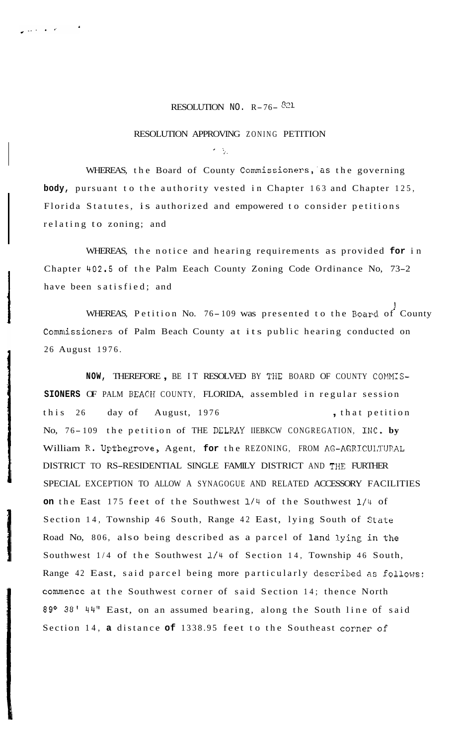## RESOLUTION NO.  $R-76-$ <sup>821</sup>

## RESOLUTION APPROVING ZONING PETITION

*<sup>I</sup>*.. *I'* .

 $\omega < \epsilon / g \approx 10^{-4}$ 

WHEREAS, the Board of County Commissioners,'as the governing **body,** pursuant to the authority vested in Chapter 163 and Chapter 125, Florida Statutes, is authorized and empowered to consider petitions relating to zoning; and

WHEREAS, the notice and hearing requirements as provided **for** in Chapter **402.5** of the Palm Eeach County Zoning Code Ordinance No, 73-2 have been satisfied; and

WHEREAS, Petition No. 76-109 was presented to the Board of County Commissioners of Palm Beach County at its public hearing conducted on 26 August 1976.

NOW, THEREFORE, BE IT RESOLVED BY THE BOARD OF COUNTY COMMIS-**SIONERS** OF PALM BEACH COUNTY, FLORIDA, assembled in regular session this 26 day of August, 1976 , that petition No, 76-109 the petition of THE DELRAY IIEBKCW CONGREGATION, INC. by William R. Upthegrove, Agent, **for** the REZONING, FROM AG-AGRJCULTIJRAL DISTRICT TO RS-RESIDENTIAL SINGLE FAMILY DISTRICT AND THE FURTHER SPECIAL EXCEPTION TO ALLOW A SYNAGOGUE AND RELATED ACCESSORY FACILITIES **on** the East 175 feet of the Southwest 1/4 of the Southwest 1/4 of Section 14, Township 46 South, Range 42 East, lying South of State Road No, 806, also being described as a parcel of land lying in the Southwest 1/4 of the Southwest **1/4** of Section 14, Township 46 South, Range 42 East, said parcel being more particularly described **as** follows: commence at the Southwest corner of said Section 14; thence North **89' 38'** 44" East, on an assumed bearing, along the South line of said Section 14, **a** distance **of** 1338.95 feet to the Southeast corner of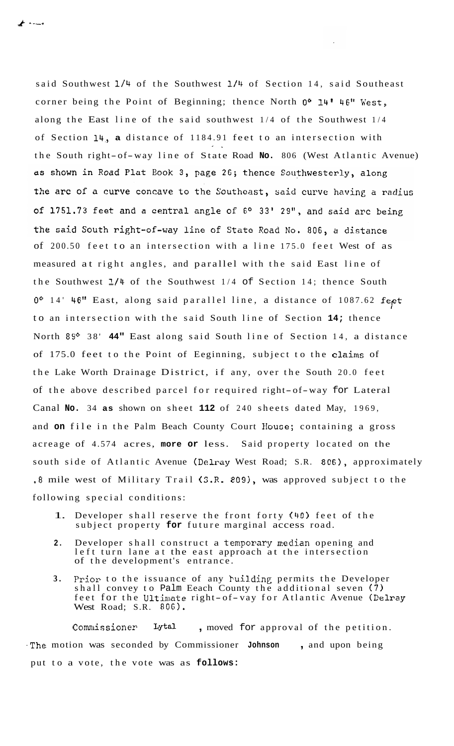---.

said Southwest **l/4** of the Southwest **1/11** of Section 14, said Southeast corner being the Point of Beginning; thence North 00 **14'** 46" West, along the East line of the said southwest 1/4 of the Southwest 1/4 of Section **14,, a** distance of 1184.91 feet to an intersection with . *I*. 1<br>*I*. 1 the South right- of-way line of State Road **No.** 806 (West Atlantic Avenue) as shown in Road Plat Book 3, page 26; thence Southwesterly, along the arc of a curve concave to the Southeast, said curve having a radius of 1751.73 feet and a central angle of 6° 33' 29", and said arc being the said South right-of-way line of State Road No. 806, a distance of 200.50 feet to an intersection with a line 175.0 feet West of as measured at right angles, and parallel with the said East line of the Southwest 1/4 of the Southwest 1/4 of Section 14; thence South **Oo** 14' **46"** East, along said parallel line, a distance of 1087.62 fe,et to an intersection with the said South line of Section **14;** thence North 89° 38' 44" East along said South line of Section 14, a distance of 175.0 feet to the Point of Eeginning, subject to the claims of the Lake Worth Drainage District, if any, over the South 20.0 feet of the above described parcel for required right- of-way for Lateral Canal **No.** 34 **as** shown on sheet **112** of 240 sheets dated May, 1969, and **on** file in the Palm Beach County Court House; containing a gross acreage of 4.574 acres, **more or** less. Said property located on the south side of Atlantic Avenue (Delray West Road; S.R. 806), approximately .8 mile west of Military Trail (S.R. **809),** was approved subject to the following special conditions:

- 1. Developer shall reserve the front forty (40) feet of the subject property **for** future marginal access road.
- 2. Developer shall construct a temporary median opening and left turn lane at the east approach at the intersection of the development's entrance.
- **3.** Prior to the issuance of any building permits the Developer shall convey to Palm Eeach County the additional seven  $(7)$ feet for the Ultimate right- of-vay for Atlantic Avenue (Delray West Road; S.R. 806).

Commissioner **Lytal** , moved for approval of the petition. .The motion was seconded by Commissioner **Johnson** , and upon being put to a vote, the vote was as **follows:**